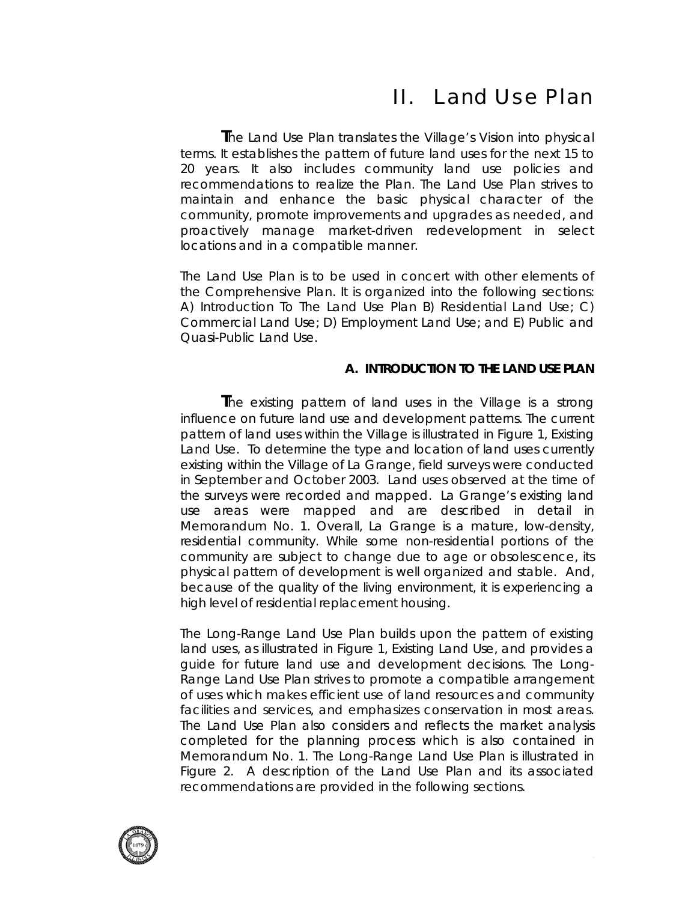# II. Land Use Plan

 **T**he Land Use Plan translates the Village's Vision into physical terms. It establishes the pattern of future land uses for the next 15 to 20 years. It also includes community land use policies and recommendations to realize the Plan. The Land Use Plan strives to maintain and enhance the basic physical character of the community, promote improvements and upgrades as needed, and proactively manage market-driven redevelopment in select locations and in a compatible manner.

The Land Use Plan is to be used in concert with other elements of the Comprehensive Plan. It is organized into the following sections: A) Introduction To The Land Use Plan B) Residential Land Use; C) Commercial Land Use; D) Employment Land Use; and E) Public and Quasi-Public Land Use.

#### **A. INTRODUCTION TO THE LAND USE PLAN**

 **T**he existing pattern of land uses in the Village is a strong influence on future land use and development patterns. The current pattern of land uses within the Village is illustrated in *Figure 1, Existing Land Use*. To determine the type and location of land uses currently existing within the Village of La Grange, field surveys were conducted in September and October 2003. Land uses observed at the time of the surveys were recorded and mapped. La Grange's existing land use areas were mapped and are described in detail in *Memorandum No. 1*. Overall, La Grange is a mature, low-density, residential community. While some non-residential portions of the community are subject to change due to age or obsolescence, its physical pattern of development is well organized and stable. And, because of the quality of the living environment, it is experiencing a high level of residential replacement housing.

*The Long-Range Land Use* Plan builds upon the pattern of existing land uses, as illustrated in *Figure 1, Existing Land Use*, and provides a guide for future land use and development decisions. The *Long-Range Land Use Plan* strives to promote a compatible arrangement of uses which makes efficient use of land resources and community facilities and services, and emphasizes conservation in most areas. The Land Use Plan also considers and reflects the market analysis completed for the planning process which is also contained in Memorandum No. 1. *The Long-Range Land Use Plan* is illustrated in *Figure 2*. A description of the Land Use Plan and its associated recommendations are provided in the following sections.

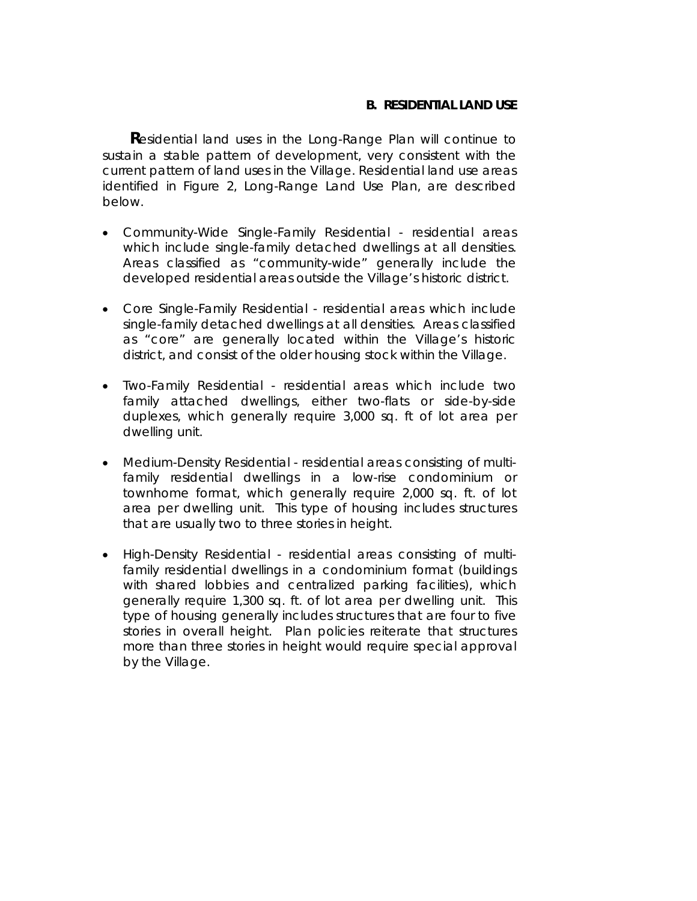#### **B. RESIDENTIAL LAND USE**

**R**esidential land uses in the Long-Range Plan will continue to sustain a stable pattern of development, very consistent with the current pattern of land uses in the Village. Residential land use areas identified in *Figure 2, Long-Range Land Use Plan*, are described below.

- *Community-Wide Single-Family Residential* residential areas which include single-family detached dwellings at all densities. Areas classified as "community-wide" generally include the developed residential areas outside the Village's historic district.
- *Core Single-Family Residential* residential areas which include single-family detached dwellings at all densities. Areas classified as "core" are generally located within the Village's historic district, and consist of the older housing stock within the Village.
- *Two-Family Residential* residential areas which include two family attached dwellings, either two-flats or side-by-side duplexes, which generally require 3,000 sq. ft of lot area per dwelling unit.
- *Medium-Density Residential* residential areas consisting of multifamily residential dwellings in a low-rise condominium or townhome format, which generally require 2,000 sq. ft. of lot area per dwelling unit. This type of housing includes structures that are usually two to three stories in height.
- *High-Density Residential* residential areas consisting of multifamily residential dwellings in a condominium format (buildings with shared lobbies and centralized parking facilities), which generally require 1,300 sq. ft. of lot area per dwelling unit. This type of housing generally includes structures that are four to five stories in overall height. Plan policies reiterate that structures more than three stories in height would require special approval by the Village.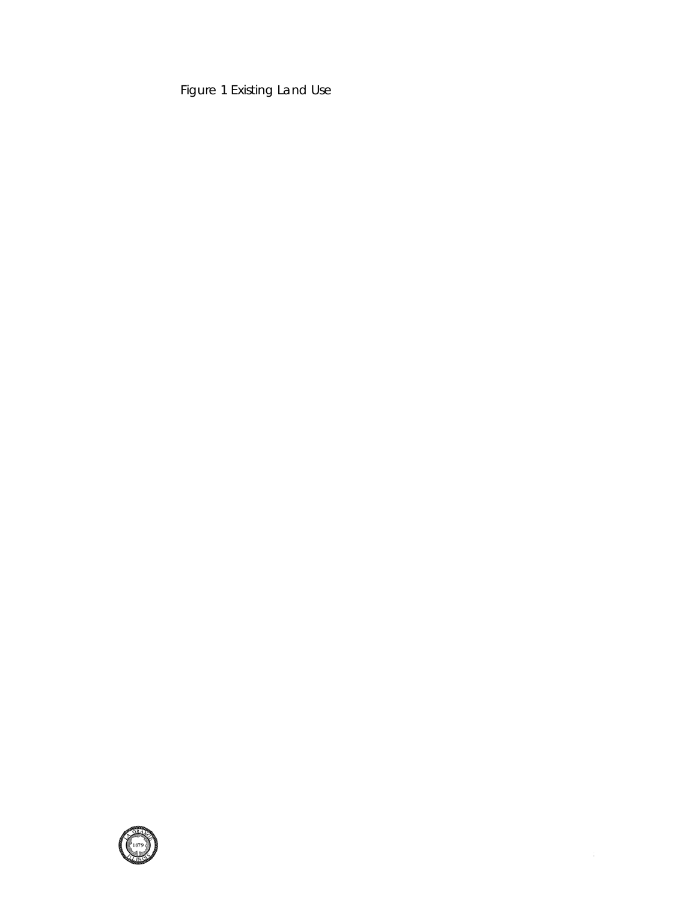Figure 1 Existing Land Use

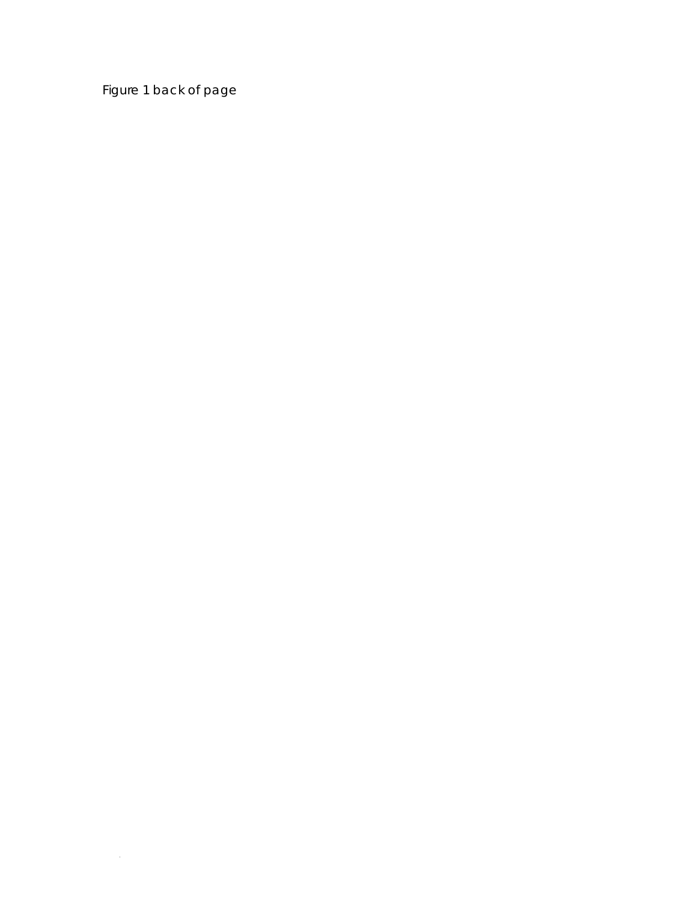Figure 1 back of page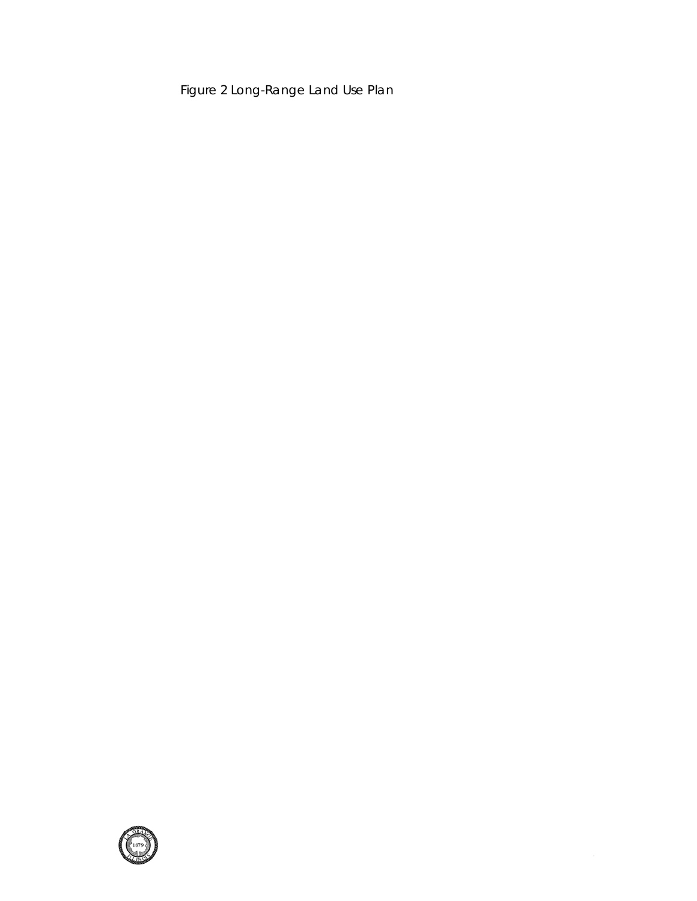Figure 2 Long-Range Land Use Plan

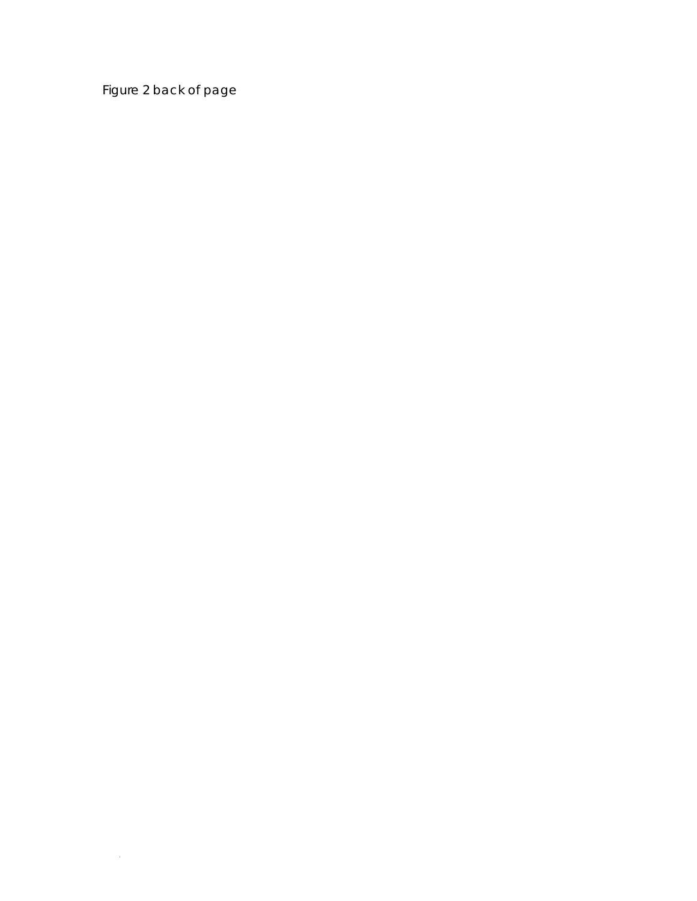Figure 2 back of page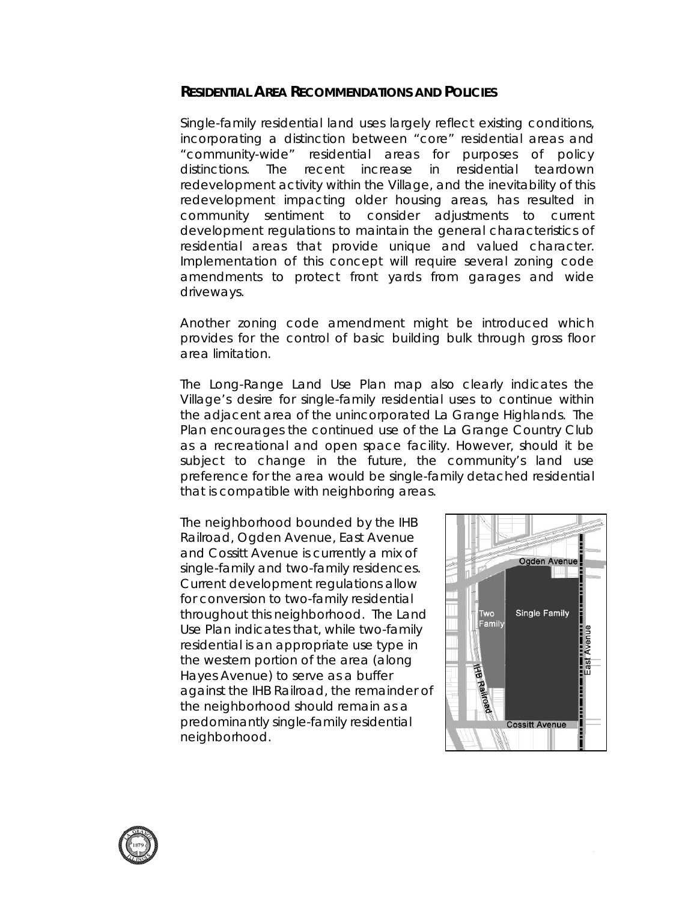# **RESIDENTIAL AREA RECOMMENDATIONS AND POLICIES**

Single-family residential land uses largely reflect existing conditions, incorporating a distinction between "core" residential areas and "community-wide" residential areas for purposes of policy distinctions. The recent increase in residential teardown redevelopment activity within the Village, and the inevitability of this redevelopment impacting older housing areas, has resulted in community sentiment to consider adjustments to current development regulations to maintain the general characteristics of residential areas that provide unique and valued character. Implementation of this concept will require several zoning code amendments to protect front yards from garages and wide driveways.

Another zoning code amendment might be introduced which provides for the control of basic building bulk through gross floor area limitation.

The Long-Range Land Use Plan map also clearly indicates the Village's desire for single-family residential uses to continue within the adjacent area of the unincorporated La Grange Highlands. The Plan encourages the continued use of the La Grange Country Club as a recreational and open space facility. However, should it be subject to change in the future, the community's land use preference for the area would be single-family detached residential that is compatible with neighboring areas.

The neighborhood bounded by the IHB Railroad, Ogden Avenue, East Avenue and Cossitt Avenue is currently a mix of single-family and two-family residences. Current development regulations allow for conversion to two-family residential throughout this neighborhood. The Land Use Plan indicates that, while two-family residential is an appropriate use type in the western portion of the area (along Hayes Avenue) to serve as a buffer against the IHB Railroad, the remainder of the neighborhood should remain as a predominantly single-family residential neighborhood.



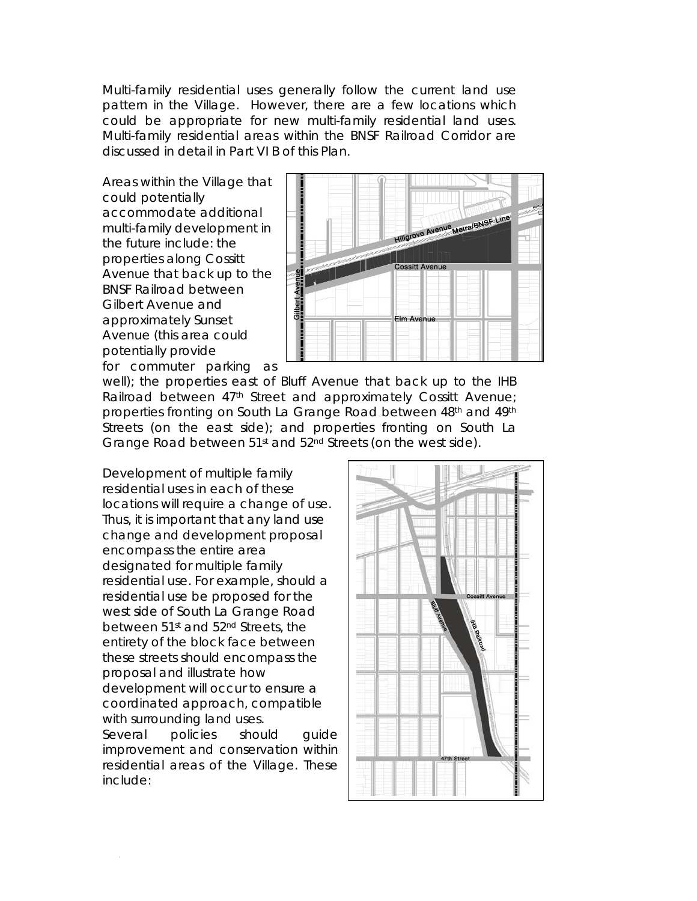Multi-family residential uses generally follow the current land use pattern in the Village. However, there are a few locations which could be appropriate for new multi-family residential land uses. Multi-family residential areas within the BNSF Railroad Corridor are discussed in detail in Part VI B of this Plan.

Areas within the Village that could potentially accommodate additional multi-family development in the future include: the properties along Cossitt Avenue that back up to the BNSF Railroad between Gilbert Avenue and approximately Sunset Avenue (this area could potentially provide for commuter parking as



well); the properties east of Bluff Avenue that back up to the IHB Railroad between 47<sup>th</sup> Street and approximately Cossitt Avenue; properties fronting on South La Grange Road between 48th and 49th Streets (on the east side); and properties fronting on South La Grange Road between 51<sup>st</sup> and 52<sup>nd</sup> Streets (on the west side).

Development of multiple family residential uses in each of these locations will require a change of use. Thus, it is important that any land use change and development proposal encompass the entire area designated for multiple family residential use. For example, should a residential use be proposed for the west side of South La Grange Road between 51st and 52nd Streets, the entirety of the block face between these streets should encompass the proposal and illustrate how development will occur to ensure a coordinated approach, compatible with surrounding land uses.

Several policies should quide improvement and conservation within residential areas of the Village. These include:

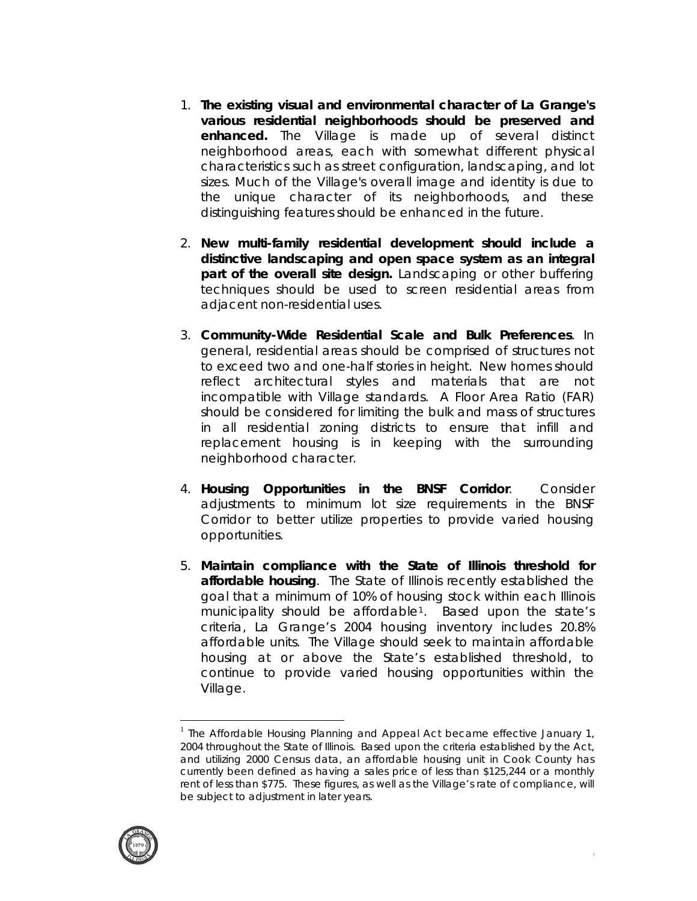- 1. **The existing visual and environmental character of La Grange's various residential neighborhoods should be preserved and enhanced.** The Village is made up of several distinct neighborhood areas, each with somewhat different physical characteristics such as street configuration, landscaping, and lot sizes. Much of the Village's overall image and identity is due to the unique character of its neighborhoods, and these distinguishing features should be enhanced in the future.
- 2. **New multi-family residential development should include a distinctive landscaping and open space system as an integral part of the overall site design.** Landscaping or other buffering techniques should be used to screen residential areas from adjacent non-residential uses.
- 3. **Community-Wide Residential Scale and Bulk Preferences**. In general, residential areas should be comprised of structures not to exceed two and one-half stories in height. New homes should reflect architectural styles and materials that are not incompatible with Village standards. A Floor Area Ratio (FAR) should be considered for limiting the bulk and mass of structures in all residential zoning districts to ensure that infill and replacement housing is in keeping with the surrounding neighborhood character.
- 4. **Housing Opportunities in the BNSF Corridor**. Consider adjustments to minimum lot size requirements in the BNSF Corridor to better utilize properties to provide varied housing opportunities.
- 5. **Maintain compliance with the State of Illinois threshold for affordable housing**. The State of Illinois recently established the goal that a minimum of 10% of housing stock within each Illinois municipality should be affordable<sup>[1](#page-8-0)</sup>. Based upon the state's criteria, La Grange's 2004 housing inventory includes 20.8% affordable units. The Village should seek to maintain affordable housing at or above the State's established threshold, to continue to provide varied housing opportunities within the Village.

<span id="page-8-0"></span><sup>&</sup>lt;sup>1</sup> The Affordable Housing Planning and Appeal Act became effective January 1, 2004 throughout the State of Illinois. Based upon the criteria established by the Act, and utilizing 2000 Census data, an affordable housing unit in Cook County has currently been defined as having a sales price of less than \$125,244 or a monthly rent of less than \$775. These figures, as well as the Village's rate of compliance, will be subject to adjustment in later years.



 $\overline{a}$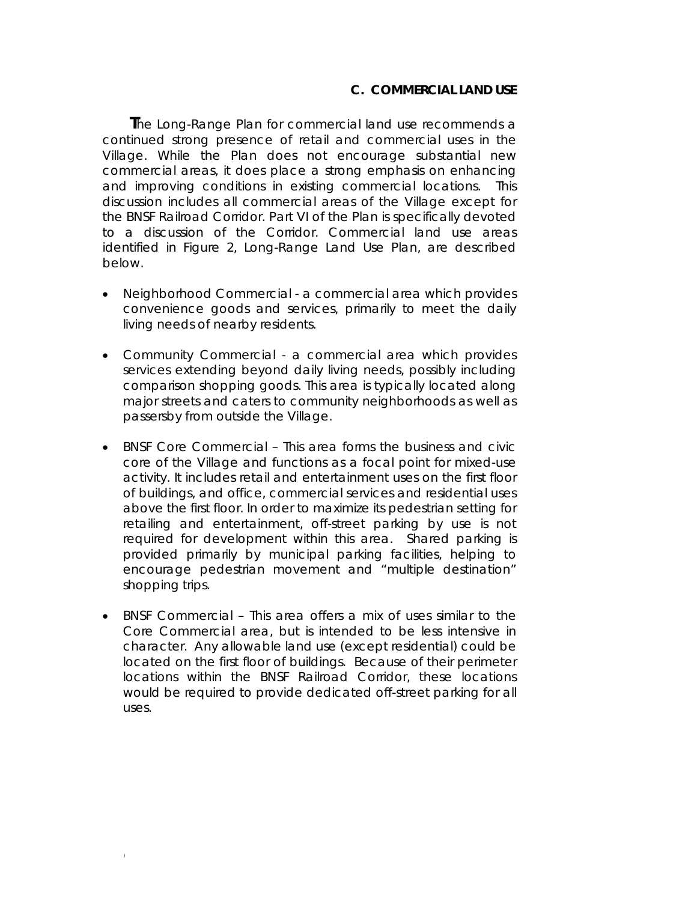#### **C. COMMERCIAL LAND USE**

**T**he Long-Range Plan for commercial land use recommends a continued strong presence of retail and commercial uses in the Village. While the Plan does not encourage substantial new commercial areas, it does place a strong emphasis on enhancing and improving conditions in existing commercial locations. This discussion includes all commercial areas of the Village except for the BNSF Railroad Corridor. Part VI of the Plan is specifically devoted to a discussion of the Corridor. Commercial land use areas identified in *Figure 2, Long-Range Land Use Plan*, are described below.

- *Neighborhood Commercial* a commercial area which provides convenience goods and services, primarily to meet the daily living needs of nearby residents.
- *Community Commercial* a commercial area which provides services extending beyond daily living needs, possibly including comparison shopping goods. This area is typically located along major streets and caters to community neighborhoods as well as passersby from outside the Village.
- *BNSF Core Commercial* This area forms the business and civic core of the Village and functions as a focal point for *mixed-use* activity. It includes retail and entertainment uses on the first floor of buildings, and office, commercial services and residential uses above the first floor. In order to maximize its pedestrian setting for retailing and entertainment, off-street parking by use is not required for development within this area. Shared parking is provided primarily by municipal parking facilities, helping to encourage pedestrian movement and "multiple destination" shopping trips.
- *BNSF Commercial* This area offers a mix of uses similar to the Core Commercial area, but is intended to be less intensive in character. Any allowable land use (except residential) could be located on the first floor of buildings. Because of their perimeter locations within the BNSF Railroad Corridor, these locations would be required to provide dedicated off-street parking for all uses.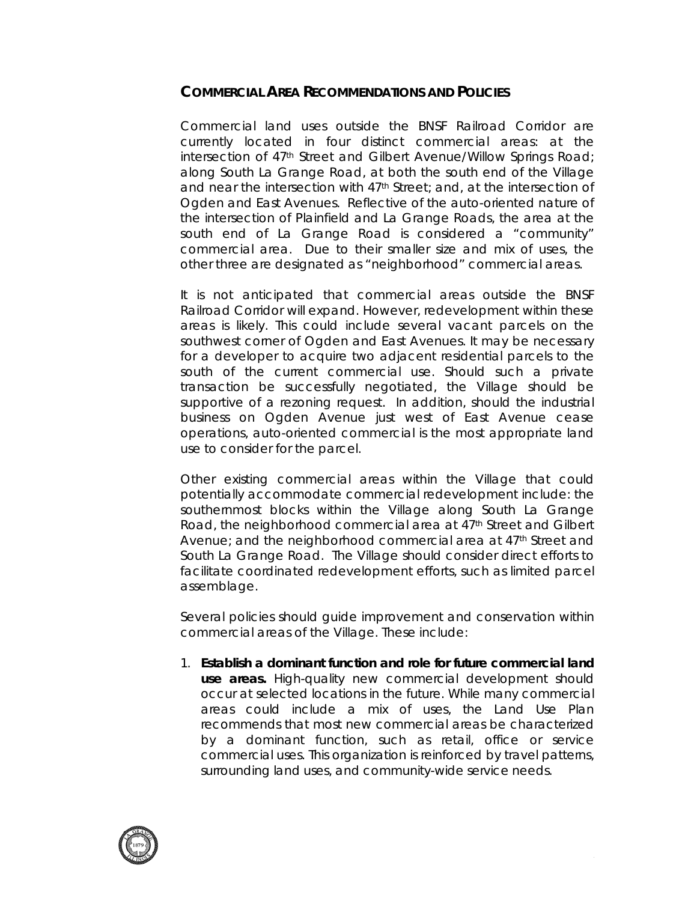# **COMMERCIAL AREA RECOMMENDATIONS AND POLICIES**

Commercial land uses outside the BNSF Railroad Corridor are currently located in four distinct commercial areas: at the intersection of 47<sup>th</sup> Street and Gilbert Avenue/Willow Springs Road; along South La Grange Road, at both the south end of the Village and near the intersection with 47<sup>th</sup> Street; and, at the intersection of Ogden and East Avenues. Reflective of the auto-oriented nature of the intersection of Plainfield and La Grange Roads, the area at the south end of La Grange Road is considered a "community" commercial area. Due to their smaller size and mix of uses, the other three are designated as "neighborhood" commercial areas.

It is not anticipated that commercial areas outside the BNSF Railroad Corridor will expand. However, redevelopment within these areas is likely. This could include several vacant parcels on the southwest corner of Ogden and East Avenues. It may be necessary for a developer to acquire two adjacent residential parcels to the south of the current commercial use. Should such a private transaction be successfully negotiated, the Village should be supportive of a rezoning request. In addition, should the industrial business on Ogden Avenue just west of East Avenue cease operations, auto-oriented commercial is the most appropriate land use to consider for the parcel.

Other existing commercial areas within the Village that could potentially accommodate commercial redevelopment include: the southernmost blocks within the Village along South La Grange Road, the neighborhood commercial area at 47<sup>th</sup> Street and Gilbert Avenue; and the neighborhood commercial area at 47<sup>th</sup> Street and South La Grange Road. The Village should consider direct efforts to facilitate coordinated redevelopment efforts, such as limited parcel assemblage.

Several policies should guide improvement and conservation within commercial areas of the Village. These include:

1. **Establish a dominant function and role for future commercial land use areas.** High-quality new commercial development should occur at selected locations in the future. While many commercial areas could include a mix of uses, the Land Use Plan recommends that most new commercial areas be characterized by a dominant function, such as retail, office or service commercial uses. This organization is reinforced by travel patterns, surrounding land uses, and community-wide service needs.

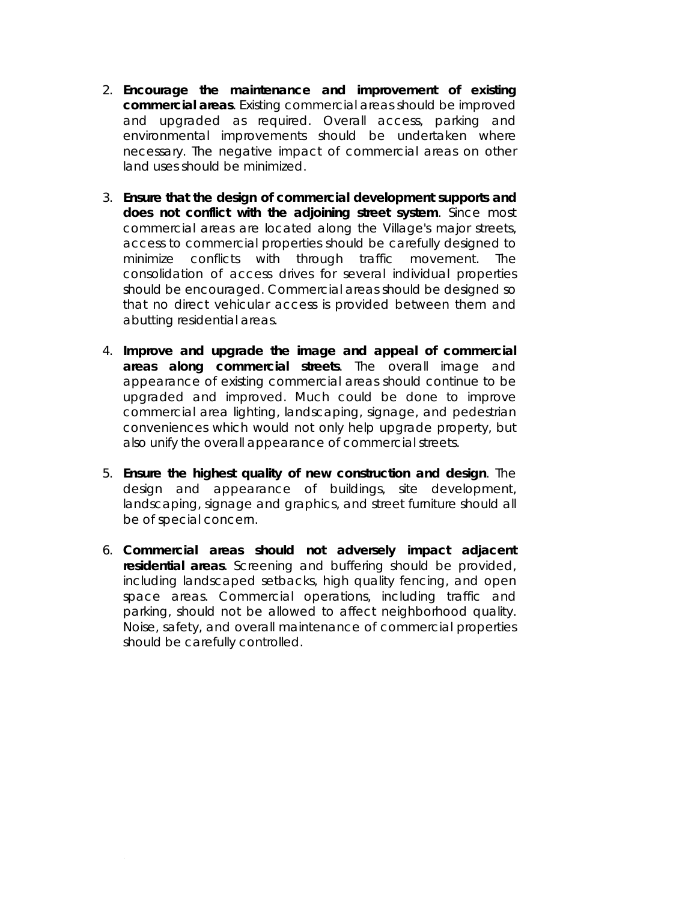- 2. **Encourage the maintenance and improvement of existing commercial areas**. Existing commercial areas should be improved and upgraded as required. Overall access, parking and environmental improvements should be undertaken where necessary. The negative impact of commercial areas on other land uses should be minimized.
- 3. **Ensure that the design of commercial development supports and does not conflict with the adjoining street system**. Since most commercial areas are located along the Village's major streets, access to commercial properties should be carefully designed to minimize conflicts with through traffic movement. The consolidation of access drives for several individual properties should be encouraged. Commercial areas should be designed so that no direct vehicular access is provided between them and abutting residential areas.
- 4. **Improve and upgrade the image and appeal of commercial areas along commercial streets**. The overall image and appearance of existing commercial areas should continue to be upgraded and improved. Much could be done to improve commercial area lighting, landscaping, signage, and pedestrian conveniences which would not only help upgrade property, but also unify the overall appearance of commercial streets.
- 5. **Ensure the highest quality of new construction and design**. The design and appearance of buildings, site development, landscaping, signage and graphics, and street furniture should all be of special concern.
- 6. **Commercial areas should not adversely impact adjacent residential areas**. Screening and buffering should be provided, including landscaped setbacks, high quality fencing, and open space areas. Commercial operations, including traffic and parking, should not be allowed to affect neighborhood quality. Noise, safety, and overall maintenance of commercial properties should be carefully controlled.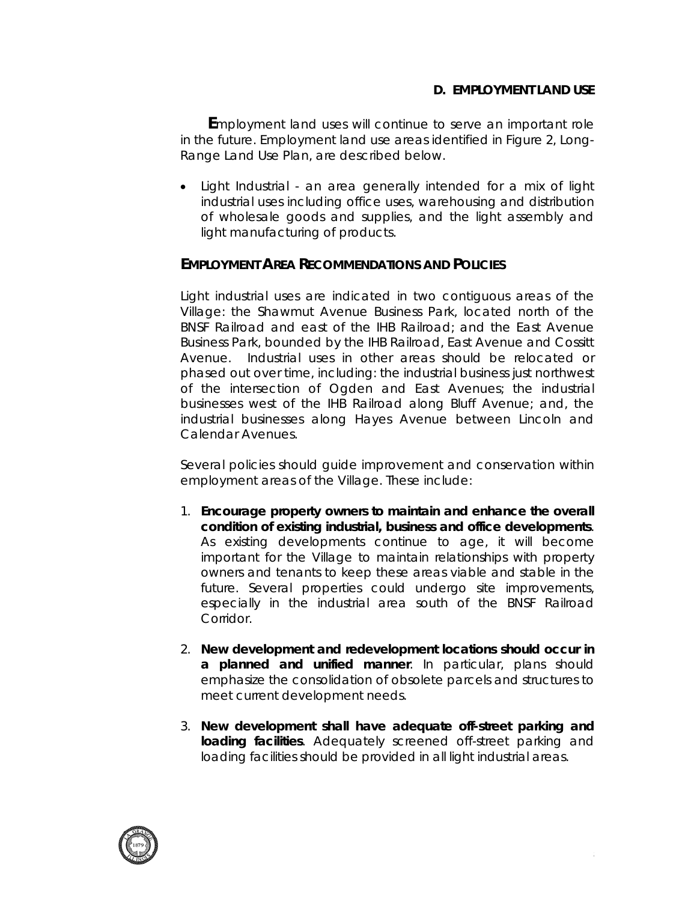# **D. EMPLOYMENT LAND USE**

**E**mployment land uses will continue to serve an important role in the future. Employment land use areas identified in *Figure 2, Long-Range Land Use Plan*, are described below.

• *Light Industrial -* an area generally intended for a mix of light industrial uses including office uses, warehousing and distribution of wholesale goods and supplies, and the light assembly and light manufacturing of products.

# **EMPLOYMENT AREA RECOMMENDATIONS AND POLICIES**

Light industrial uses are indicated in two contiguous areas of the Village: the Shawmut Avenue Business Park, located north of the BNSF Railroad and east of the IHB Railroad; and the East Avenue Business Park, bounded by the IHB Railroad, East Avenue and Cossitt Avenue. Industrial uses in other areas should be relocated or phased out over time, including: the industrial business just northwest of the intersection of Ogden and East Avenues; the industrial businesses west of the IHB Railroad along Bluff Avenue; and, the industrial businesses along Hayes Avenue between Lincoln and Calendar Avenues.

Several policies should guide improvement and conservation within employment areas of the Village. These include:

- 1. **Encourage property owners to maintain and enhance the overall condition of existing industrial, business and office developments**. As existing developments continue to age, it will become important for the Village to maintain relationships with property owners and tenants to keep these areas viable and stable in the future. Several properties could undergo site improvements, especially in the industrial area south of the BNSF Railroad Corridor.
- 2. **New development and redevelopment locations should occur in a planned and unified manner**. In particular, plans should emphasize the consolidation of obsolete parcels and structures to meet current development needs.
- 3. **New development shall have adequate off-street parking and loading facilities**. Adequately screened off-street parking and loading facilities should be provided in all light industrial areas.

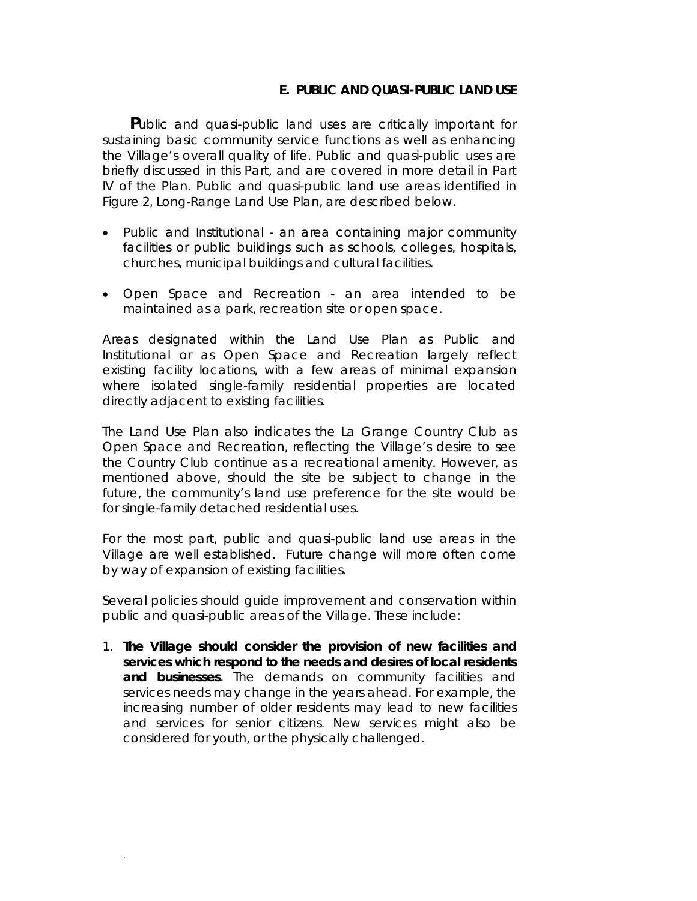#### **E. PUBLIC AND QUASI-PUBLIC LAND USE**

**P**ublic and quasi-public land uses are critically important for sustaining basic community service functions as well as enhancing the Village's overall quality of life. Public and quasi-public uses are briefly discussed in this Part, and are covered in more detail in Part IV of the Plan. Public and quasi-public land use areas identified in *Figure 2, Long-Range Land Use Plan*, are described below.

- *Public and Institutional* an area containing major community facilities or public buildings such as schools, colleges, hospitals, churches, municipal buildings and cultural facilities.
- *Open Space and Recreation* an area intended to be maintained as a park, recreation site or open space.

Areas designated within the Land Use Plan as Public and Institutional or as Open Space and Recreation largely reflect existing facility locations, with a few areas of minimal expansion where isolated single-family residential properties are located directly adjacent to existing facilities.

The Land Use Plan also indicates the La Grange Country Club as Open Space and Recreation, reflecting the Village's desire to see the Country Club continue as a recreational amenity. However, as mentioned above, should the site be subject to change in the future, the community's land use preference for the site would be for single-family detached residential uses.

For the most part, public and quasi-public land use areas in the Village are well established. Future change will more often come by way of expansion of existing facilities.

Several policies should guide improvement and conservation within public and quasi-public areas of the Village. These include:

1. **The Village should consider the provision of new facilities and services which respond to the needs and desires of local residents and businesses**. The demands on community facilities and services needs may change in the years ahead. For example, the increasing number of older residents may lead to new facilities and services for senior citizens. New services might also be considered for youth, or the physically challenged.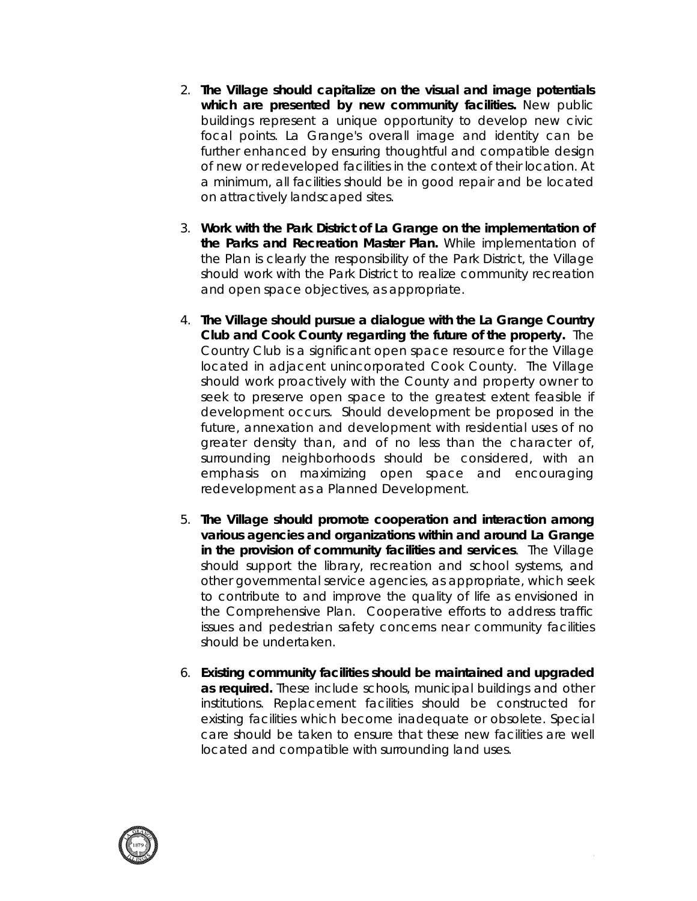- 2. **The Village should capitalize on the visual and image potentials which are presented by new community facilities.** New public buildings represent a unique opportunity to develop new civic focal points. La Grange's overall image and identity can be further enhanced by ensuring thoughtful and compatible design of new or redeveloped facilities in the context of their location. At a minimum, all facilities should be in good repair and be located on attractively landscaped sites.
- 3. **Work with the Park District of La Grange on the implementation of the Parks and Recreation Master Plan.** While implementation of the Plan is clearly the responsibility of the Park District, the Village should work with the Park District to realize community recreation and open space objectives, as appropriate.
- 4. **The Village should pursue a dialogue with the La Grange Country Club and Cook County regarding the future of the property.** The Country Club is a significant open space resource for the Village located in adjacent unincorporated Cook County. The Village should work proactively with the County and property owner to seek to preserve open space to the greatest extent feasible if development occurs. Should development be proposed in the future, annexation and development with residential uses of no greater density than, and of no less than the character of, surrounding neighborhoods should be considered, with an emphasis on maximizing open space and encouraging redevelopment as a Planned Development.
- 5. **The Village should promote cooperation and interaction among various agencies and organizations within and around La Grange in the provision of community facilities and services**. The Village should support the library, recreation and school systems, and other governmental service agencies, as appropriate, which seek to contribute to and improve the quality of life as envisioned in the Comprehensive Plan. Cooperative efforts to address traffic issues and pedestrian safety concerns near community facilities should be undertaken.
- 6. **Existing community facilities should be maintained and upgraded as required.** These include schools, municipal buildings and other institutions. Replacement facilities should be constructed for existing facilities which become inadequate or obsolete. Special care should be taken to ensure that these new facilities are well located and compatible with surrounding land uses.